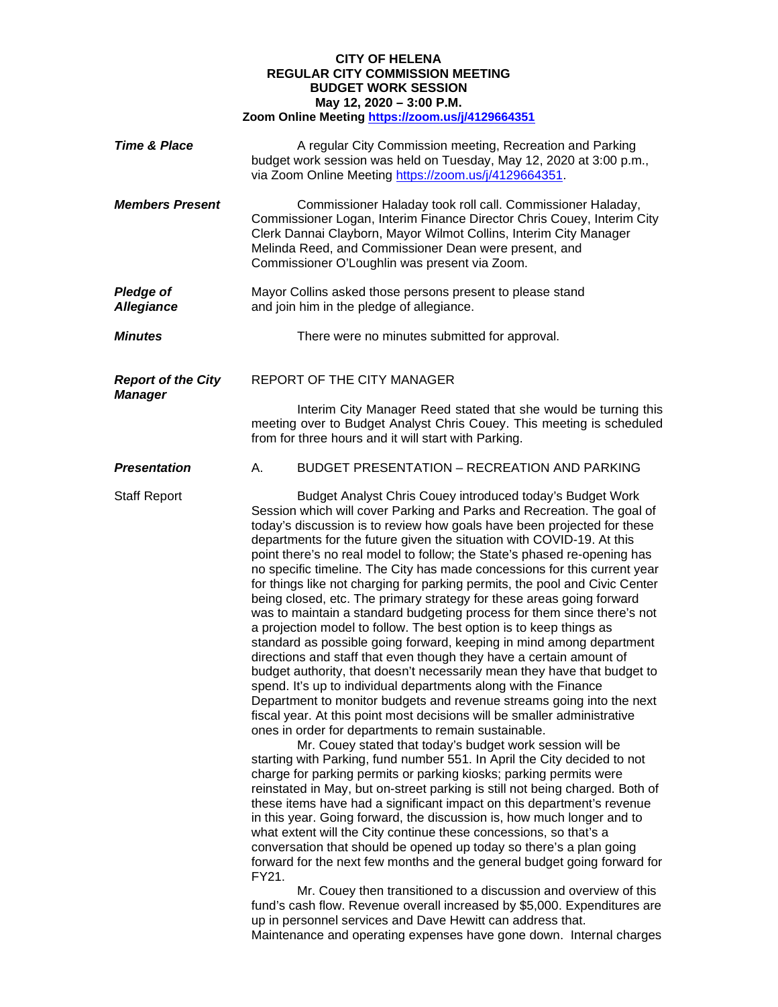## **CITY OF HELENA REGULAR CITY COMMISSION MEETING BUDGET WORK SESSION May 12, 2020 – 3:00 P.M. Zoom Online Meeting<https://zoom.us/j/4129664351>**

| <b>Time &amp; Place</b>                     | A regular City Commission meeting, Recreation and Parking<br>budget work session was held on Tuesday, May 12, 2020 at 3:00 p.m.,<br>via Zoom Online Meeting https://zoom.us/j/4129664351.                                                                                                                                                                                                                                                                                                                                                                                                                                                                                                                                                                                                                                                                                                                                                                                                                                                                                                                                                                                                                                                                                                                                                                                                                                                                                                                                                                                                                                                                                                                                                                                                                                                                                                                                                                                                                                                                                                                                                                                                                                                     |
|---------------------------------------------|-----------------------------------------------------------------------------------------------------------------------------------------------------------------------------------------------------------------------------------------------------------------------------------------------------------------------------------------------------------------------------------------------------------------------------------------------------------------------------------------------------------------------------------------------------------------------------------------------------------------------------------------------------------------------------------------------------------------------------------------------------------------------------------------------------------------------------------------------------------------------------------------------------------------------------------------------------------------------------------------------------------------------------------------------------------------------------------------------------------------------------------------------------------------------------------------------------------------------------------------------------------------------------------------------------------------------------------------------------------------------------------------------------------------------------------------------------------------------------------------------------------------------------------------------------------------------------------------------------------------------------------------------------------------------------------------------------------------------------------------------------------------------------------------------------------------------------------------------------------------------------------------------------------------------------------------------------------------------------------------------------------------------------------------------------------------------------------------------------------------------------------------------------------------------------------------------------------------------------------------------|
| <b>Members Present</b>                      | Commissioner Haladay took roll call. Commissioner Haladay,<br>Commissioner Logan, Interim Finance Director Chris Couey, Interim City<br>Clerk Dannai Clayborn, Mayor Wilmot Collins, Interim City Manager<br>Melinda Reed, and Commissioner Dean were present, and<br>Commissioner O'Loughlin was present via Zoom.                                                                                                                                                                                                                                                                                                                                                                                                                                                                                                                                                                                                                                                                                                                                                                                                                                                                                                                                                                                                                                                                                                                                                                                                                                                                                                                                                                                                                                                                                                                                                                                                                                                                                                                                                                                                                                                                                                                           |
| <b>Pledge of</b><br><b>Allegiance</b>       | Mayor Collins asked those persons present to please stand<br>and join him in the pledge of allegiance.                                                                                                                                                                                                                                                                                                                                                                                                                                                                                                                                                                                                                                                                                                                                                                                                                                                                                                                                                                                                                                                                                                                                                                                                                                                                                                                                                                                                                                                                                                                                                                                                                                                                                                                                                                                                                                                                                                                                                                                                                                                                                                                                        |
| <b>Minutes</b>                              | There were no minutes submitted for approval.                                                                                                                                                                                                                                                                                                                                                                                                                                                                                                                                                                                                                                                                                                                                                                                                                                                                                                                                                                                                                                                                                                                                                                                                                                                                                                                                                                                                                                                                                                                                                                                                                                                                                                                                                                                                                                                                                                                                                                                                                                                                                                                                                                                                 |
| <b>Report of the City</b><br><b>Manager</b> | REPORT OF THE CITY MANAGER                                                                                                                                                                                                                                                                                                                                                                                                                                                                                                                                                                                                                                                                                                                                                                                                                                                                                                                                                                                                                                                                                                                                                                                                                                                                                                                                                                                                                                                                                                                                                                                                                                                                                                                                                                                                                                                                                                                                                                                                                                                                                                                                                                                                                    |
|                                             | Interim City Manager Reed stated that she would be turning this<br>meeting over to Budget Analyst Chris Couey. This meeting is scheduled<br>from for three hours and it will start with Parking.                                                                                                                                                                                                                                                                                                                                                                                                                                                                                                                                                                                                                                                                                                                                                                                                                                                                                                                                                                                                                                                                                                                                                                                                                                                                                                                                                                                                                                                                                                                                                                                                                                                                                                                                                                                                                                                                                                                                                                                                                                              |
| <b>Presentation</b>                         | <b>BUDGET PRESENTATION - RECREATION AND PARKING</b><br>А.                                                                                                                                                                                                                                                                                                                                                                                                                                                                                                                                                                                                                                                                                                                                                                                                                                                                                                                                                                                                                                                                                                                                                                                                                                                                                                                                                                                                                                                                                                                                                                                                                                                                                                                                                                                                                                                                                                                                                                                                                                                                                                                                                                                     |
| <b>Staff Report</b>                         | Budget Analyst Chris Couey introduced today's Budget Work<br>Session which will cover Parking and Parks and Recreation. The goal of<br>today's discussion is to review how goals have been projected for these<br>departments for the future given the situation with COVID-19. At this<br>point there's no real model to follow; the State's phased re-opening has<br>no specific timeline. The City has made concessions for this current year<br>for things like not charging for parking permits, the pool and Civic Center<br>being closed, etc. The primary strategy for these areas going forward<br>was to maintain a standard budgeting process for them since there's not<br>a projection model to follow. The best option is to keep things as<br>standard as possible going forward, keeping in mind among department<br>directions and staff that even though they have a certain amount of<br>budget authority, that doesn't necessarily mean they have that budget to<br>spend. It's up to individual departments along with the Finance<br>Department to monitor budgets and revenue streams going into the next<br>fiscal year. At this point most decisions will be smaller administrative<br>ones in order for departments to remain sustainable.<br>Mr. Couey stated that today's budget work session will be<br>starting with Parking, fund number 551. In April the City decided to not<br>charge for parking permits or parking kiosks; parking permits were<br>reinstated in May, but on-street parking is still not being charged. Both of<br>these items have had a significant impact on this department's revenue<br>in this year. Going forward, the discussion is, how much longer and to<br>what extent will the City continue these concessions, so that's a<br>conversation that should be opened up today so there's a plan going<br>forward for the next few months and the general budget going forward for<br>FY21.<br>Mr. Couey then transitioned to a discussion and overview of this<br>fund's cash flow. Revenue overall increased by \$5,000. Expenditures are<br>up in personnel services and Dave Hewitt can address that.<br>Maintenance and operating expenses have gone down. Internal charges |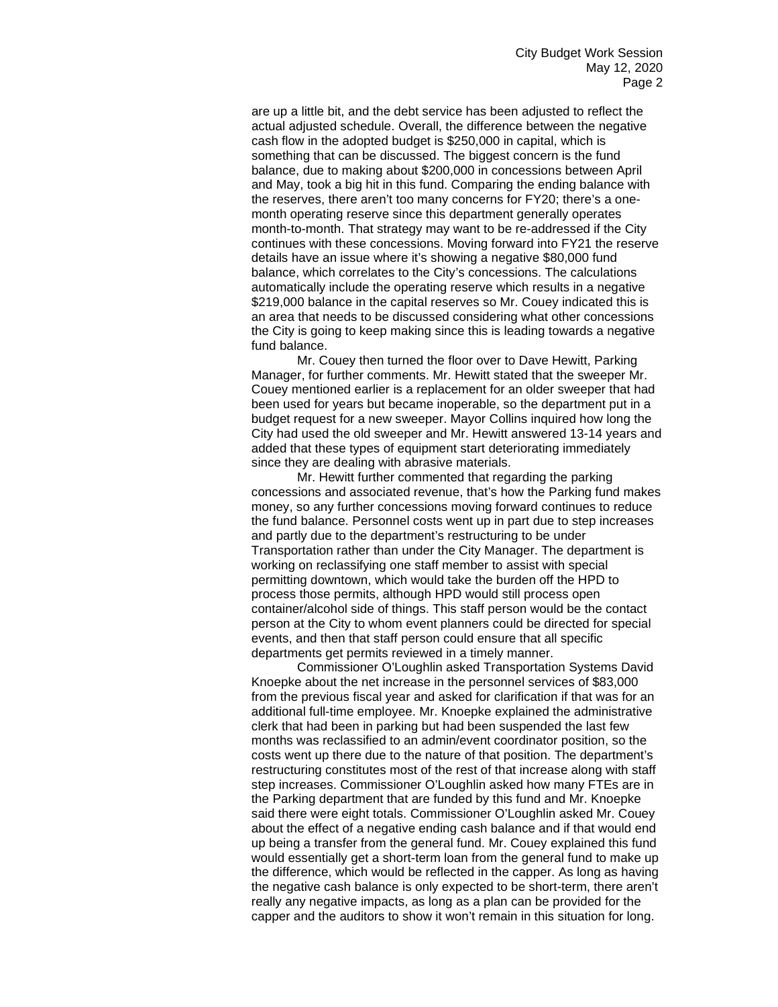are up a little bit, and the debt service has been adjusted to reflect the actual adjusted schedule. Overall, the difference between the negative cash flow in the adopted budget is \$250,000 in capital, which is something that can be discussed. The biggest concern is the fund balance, due to making about \$200,000 in concessions between April and May, took a big hit in this fund. Comparing the ending balance with the reserves, there aren't too many concerns for FY20; there's a onemonth operating reserve since this department generally operates month-to-month. That strategy may want to be re-addressed if the City continues with these concessions. Moving forward into FY21 the reserve details have an issue where it's showing a negative \$80,000 fund balance, which correlates to the City's concessions. The calculations automatically include the operating reserve which results in a negative \$219,000 balance in the capital reserves so Mr. Couey indicated this is an area that needs to be discussed considering what other concessions the City is going to keep making since this is leading towards a negative fund balance.

Mr. Couey then turned the floor over to Dave Hewitt, Parking Manager, for further comments. Mr. Hewitt stated that the sweeper Mr. Couey mentioned earlier is a replacement for an older sweeper that had been used for years but became inoperable, so the department put in a budget request for a new sweeper. Mayor Collins inquired how long the City had used the old sweeper and Mr. Hewitt answered 13-14 years and added that these types of equipment start deteriorating immediately since they are dealing with abrasive materials.

Mr. Hewitt further commented that regarding the parking concessions and associated revenue, that's how the Parking fund makes money, so any further concessions moving forward continues to reduce the fund balance. Personnel costs went up in part due to step increases and partly due to the department's restructuring to be under Transportation rather than under the City Manager. The department is working on reclassifying one staff member to assist with special permitting downtown, which would take the burden off the HPD to process those permits, although HPD would still process open container/alcohol side of things. This staff person would be the contact person at the City to whom event planners could be directed for special events, and then that staff person could ensure that all specific departments get permits reviewed in a timely manner.

Commissioner O'Loughlin asked Transportation Systems David Knoepke about the net increase in the personnel services of \$83,000 from the previous fiscal year and asked for clarification if that was for an additional full-time employee. Mr. Knoepke explained the administrative clerk that had been in parking but had been suspended the last few months was reclassified to an admin/event coordinator position, so the costs went up there due to the nature of that position. The department's restructuring constitutes most of the rest of that increase along with staff step increases. Commissioner O'Loughlin asked how many FTEs are in the Parking department that are funded by this fund and Mr. Knoepke said there were eight totals. Commissioner O'Loughlin asked Mr. Couey about the effect of a negative ending cash balance and if that would end up being a transfer from the general fund. Mr. Couey explained this fund would essentially get a short-term loan from the general fund to make up the difference, which would be reflected in the capper. As long as having the negative cash balance is only expected to be short-term, there aren't really any negative impacts, as long as a plan can be provided for the capper and the auditors to show it won't remain in this situation for long.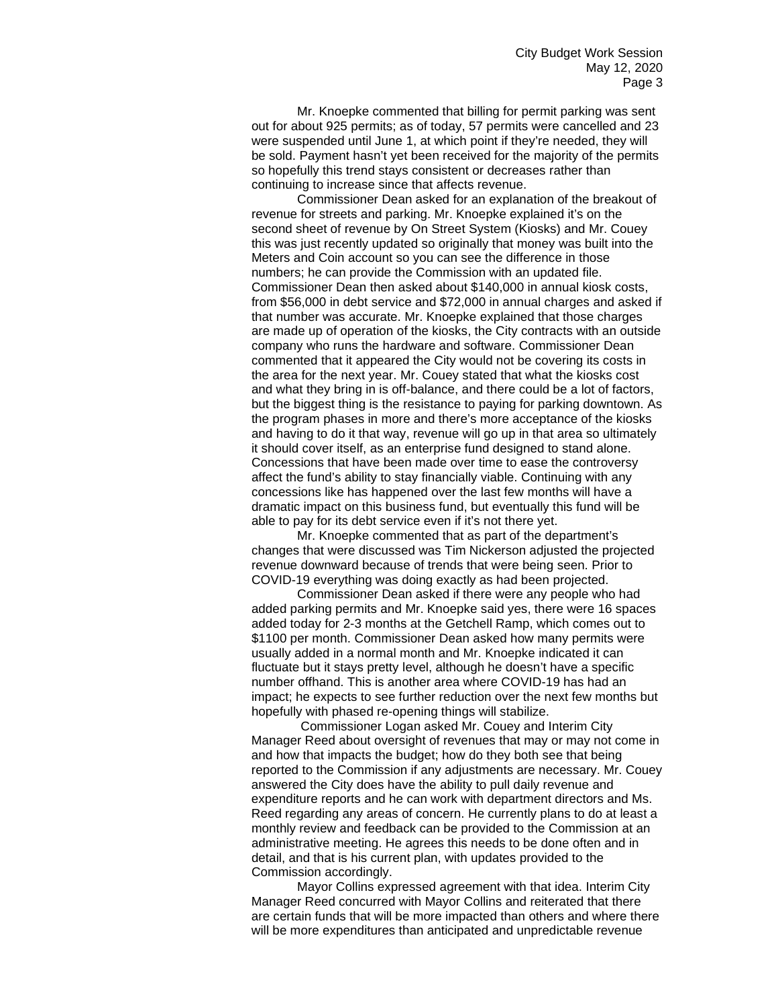Mr. Knoepke commented that billing for permit parking was sent out for about 925 permits; as of today, 57 permits were cancelled and 23 were suspended until June 1, at which point if they're needed, they will be sold. Payment hasn't yet been received for the majority of the permits so hopefully this trend stays consistent or decreases rather than continuing to increase since that affects revenue.

Commissioner Dean asked for an explanation of the breakout of revenue for streets and parking. Mr. Knoepke explained it's on the second sheet of revenue by On Street System (Kiosks) and Mr. Couey this was just recently updated so originally that money was built into the Meters and Coin account so you can see the difference in those numbers; he can provide the Commission with an updated file. Commissioner Dean then asked about \$140,000 in annual kiosk costs, from \$56,000 in debt service and \$72,000 in annual charges and asked if that number was accurate. Mr. Knoepke explained that those charges are made up of operation of the kiosks, the City contracts with an outside company who runs the hardware and software. Commissioner Dean commented that it appeared the City would not be covering its costs in the area for the next year. Mr. Couey stated that what the kiosks cost and what they bring in is off-balance, and there could be a lot of factors, but the biggest thing is the resistance to paying for parking downtown. As the program phases in more and there's more acceptance of the kiosks and having to do it that way, revenue will go up in that area so ultimately it should cover itself, as an enterprise fund designed to stand alone. Concessions that have been made over time to ease the controversy affect the fund's ability to stay financially viable. Continuing with any concessions like has happened over the last few months will have a dramatic impact on this business fund, but eventually this fund will be able to pay for its debt service even if it's not there yet.

Mr. Knoepke commented that as part of the department's changes that were discussed was Tim Nickerson adjusted the projected revenue downward because of trends that were being seen. Prior to COVID-19 everything was doing exactly as had been projected.

Commissioner Dean asked if there were any people who had added parking permits and Mr. Knoepke said yes, there were 16 spaces added today for 2-3 months at the Getchell Ramp, which comes out to \$1100 per month. Commissioner Dean asked how many permits were usually added in a normal month and Mr. Knoepke indicated it can fluctuate but it stays pretty level, although he doesn't have a specific number offhand. This is another area where COVID-19 has had an impact; he expects to see further reduction over the next few months but hopefully with phased re-opening things will stabilize.

Commissioner Logan asked Mr. Couey and Interim City Manager Reed about oversight of revenues that may or may not come in and how that impacts the budget; how do they both see that being reported to the Commission if any adjustments are necessary. Mr. Couey answered the City does have the ability to pull daily revenue and expenditure reports and he can work with department directors and Ms. Reed regarding any areas of concern. He currently plans to do at least a monthly review and feedback can be provided to the Commission at an administrative meeting. He agrees this needs to be done often and in detail, and that is his current plan, with updates provided to the Commission accordingly.

Mayor Collins expressed agreement with that idea. Interim City Manager Reed concurred with Mayor Collins and reiterated that there are certain funds that will be more impacted than others and where there will be more expenditures than anticipated and unpredictable revenue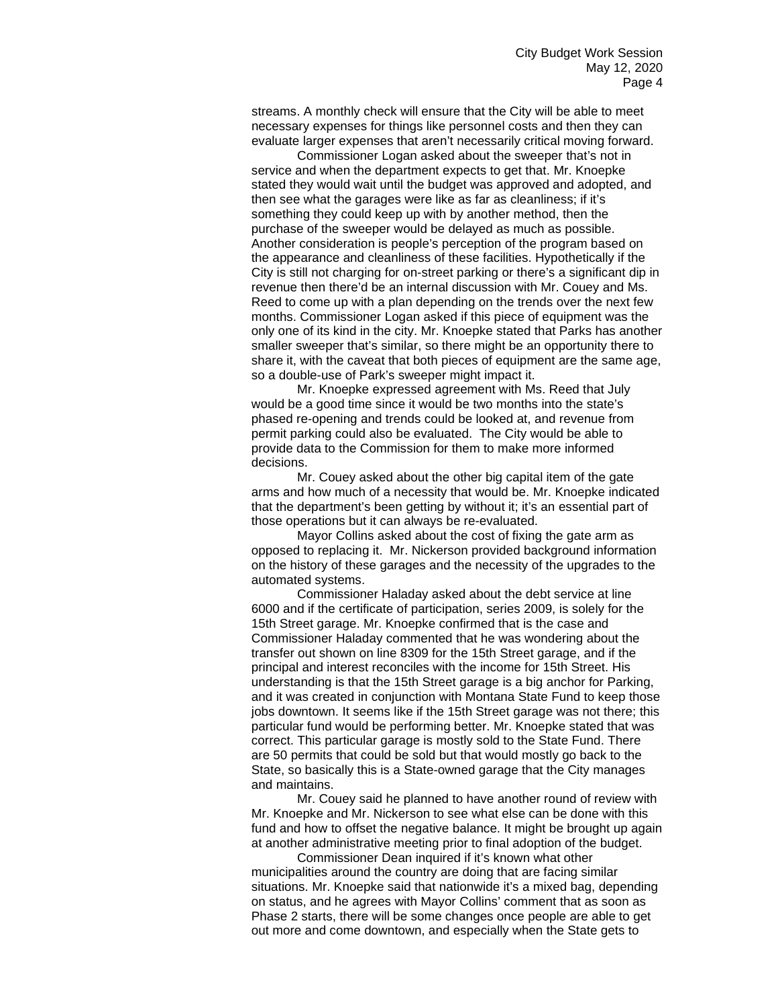streams. A monthly check will ensure that the City will be able to meet necessary expenses for things like personnel costs and then they can evaluate larger expenses that aren't necessarily critical moving forward.

Commissioner Logan asked about the sweeper that's not in service and when the department expects to get that. Mr. Knoepke stated they would wait until the budget was approved and adopted, and then see what the garages were like as far as cleanliness; if it's something they could keep up with by another method, then the purchase of the sweeper would be delayed as much as possible. Another consideration is people's perception of the program based on the appearance and cleanliness of these facilities. Hypothetically if the City is still not charging for on-street parking or there's a significant dip in revenue then there'd be an internal discussion with Mr. Couey and Ms. Reed to come up with a plan depending on the trends over the next few months. Commissioner Logan asked if this piece of equipment was the only one of its kind in the city. Mr. Knoepke stated that Parks has another smaller sweeper that's similar, so there might be an opportunity there to share it, with the caveat that both pieces of equipment are the same age, so a double-use of Park's sweeper might impact it.

Mr. Knoepke expressed agreement with Ms. Reed that July would be a good time since it would be two months into the state's phased re-opening and trends could be looked at, and revenue from permit parking could also be evaluated. The City would be able to provide data to the Commission for them to make more informed decisions.

Mr. Couey asked about the other big capital item of the gate arms and how much of a necessity that would be. Mr. Knoepke indicated that the department's been getting by without it; it's an essential part of those operations but it can always be re-evaluated.

Mayor Collins asked about the cost of fixing the gate arm as opposed to replacing it. Mr. Nickerson provided background information on the history of these garages and the necessity of the upgrades to the automated systems.

Commissioner Haladay asked about the debt service at line 6000 and if the certificate of participation, series 2009, is solely for the 15th Street garage. Mr. Knoepke confirmed that is the case and Commissioner Haladay commented that he was wondering about the transfer out shown on line 8309 for the 15th Street garage, and if the principal and interest reconciles with the income for 15th Street. His understanding is that the 15th Street garage is a big anchor for Parking, and it was created in conjunction with Montana State Fund to keep those jobs downtown. It seems like if the 15th Street garage was not there; this particular fund would be performing better. Mr. Knoepke stated that was correct. This particular garage is mostly sold to the State Fund. There are 50 permits that could be sold but that would mostly go back to the State, so basically this is a State-owned garage that the City manages and maintains.

Mr. Couey said he planned to have another round of review with Mr. Knoepke and Mr. Nickerson to see what else can be done with this fund and how to offset the negative balance. It might be brought up again at another administrative meeting prior to final adoption of the budget.

Commissioner Dean inquired if it's known what other municipalities around the country are doing that are facing similar situations. Mr. Knoepke said that nationwide it's a mixed bag, depending on status, and he agrees with Mayor Collins' comment that as soon as Phase 2 starts, there will be some changes once people are able to get out more and come downtown, and especially when the State gets to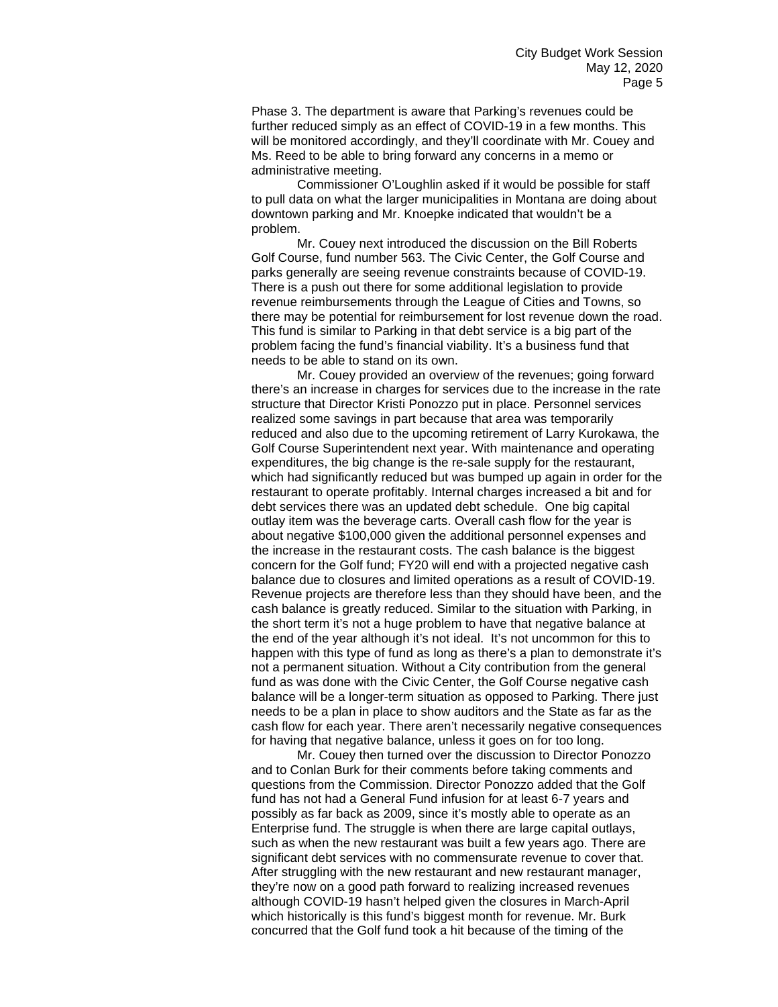Phase 3. The department is aware that Parking's revenues could be further reduced simply as an effect of COVID-19 in a few months. This will be monitored accordingly, and they'll coordinate with Mr. Couey and Ms. Reed to be able to bring forward any concerns in a memo or administrative meeting.

Commissioner O'Loughlin asked if it would be possible for staff to pull data on what the larger municipalities in Montana are doing about downtown parking and Mr. Knoepke indicated that wouldn't be a problem.

Mr. Couey next introduced the discussion on the Bill Roberts Golf Course, fund number 563. The Civic Center, the Golf Course and parks generally are seeing revenue constraints because of COVID-19. There is a push out there for some additional legislation to provide revenue reimbursements through the League of Cities and Towns, so there may be potential for reimbursement for lost revenue down the road. This fund is similar to Parking in that debt service is a big part of the problem facing the fund's financial viability. It's a business fund that needs to be able to stand on its own.

Mr. Couey provided an overview of the revenues; going forward there's an increase in charges for services due to the increase in the rate structure that Director Kristi Ponozzo put in place. Personnel services realized some savings in part because that area was temporarily reduced and also due to the upcoming retirement of Larry Kurokawa, the Golf Course Superintendent next year. With maintenance and operating expenditures, the big change is the re-sale supply for the restaurant, which had significantly reduced but was bumped up again in order for the restaurant to operate profitably. Internal charges increased a bit and for debt services there was an updated debt schedule. One big capital outlay item was the beverage carts. Overall cash flow for the year is about negative \$100,000 given the additional personnel expenses and the increase in the restaurant costs. The cash balance is the biggest concern for the Golf fund; FY20 will end with a projected negative cash balance due to closures and limited operations as a result of COVID-19. Revenue projects are therefore less than they should have been, and the cash balance is greatly reduced. Similar to the situation with Parking, in the short term it's not a huge problem to have that negative balance at the end of the year although it's not ideal. It's not uncommon for this to happen with this type of fund as long as there's a plan to demonstrate it's not a permanent situation. Without a City contribution from the general fund as was done with the Civic Center, the Golf Course negative cash balance will be a longer-term situation as opposed to Parking. There just needs to be a plan in place to show auditors and the State as far as the cash flow for each year. There aren't necessarily negative consequences for having that negative balance, unless it goes on for too long.

Mr. Couey then turned over the discussion to Director Ponozzo and to Conlan Burk for their comments before taking comments and questions from the Commission. Director Ponozzo added that the Golf fund has not had a General Fund infusion for at least 6-7 years and possibly as far back as 2009, since it's mostly able to operate as an Enterprise fund. The struggle is when there are large capital outlays, such as when the new restaurant was built a few years ago. There are significant debt services with no commensurate revenue to cover that. After struggling with the new restaurant and new restaurant manager, they're now on a good path forward to realizing increased revenues although COVID-19 hasn't helped given the closures in March-April which historically is this fund's biggest month for revenue. Mr. Burk concurred that the Golf fund took a hit because of the timing of the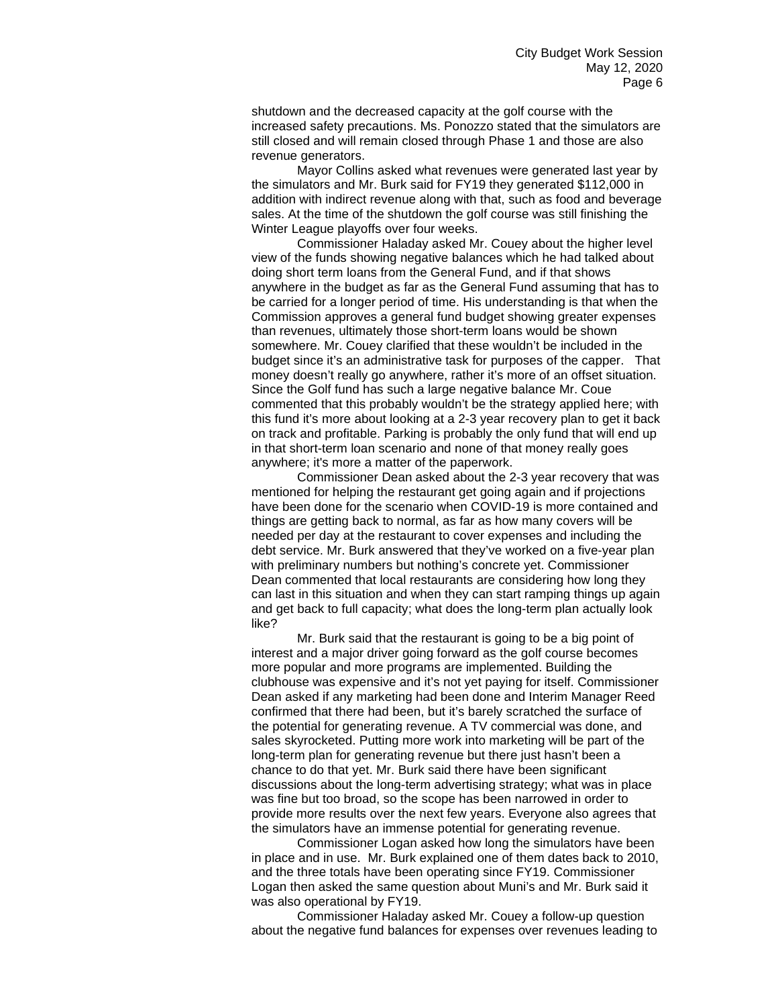shutdown and the decreased capacity at the golf course with the increased safety precautions. Ms. Ponozzo stated that the simulators are still closed and will remain closed through Phase 1 and those are also revenue generators.

Mayor Collins asked what revenues were generated last year by the simulators and Mr. Burk said for FY19 they generated \$112,000 in addition with indirect revenue along with that, such as food and beverage sales. At the time of the shutdown the golf course was still finishing the Winter League playoffs over four weeks.

Commissioner Haladay asked Mr. Couey about the higher level view of the funds showing negative balances which he had talked about doing short term loans from the General Fund, and if that shows anywhere in the budget as far as the General Fund assuming that has to be carried for a longer period of time. His understanding is that when the Commission approves a general fund budget showing greater expenses than revenues, ultimately those short-term loans would be shown somewhere. Mr. Couey clarified that these wouldn't be included in the budget since it's an administrative task for purposes of the capper. That money doesn't really go anywhere, rather it's more of an offset situation. Since the Golf fund has such a large negative balance Mr. Coue commented that this probably wouldn't be the strategy applied here; with this fund it's more about looking at a 2-3 year recovery plan to get it back on track and profitable. Parking is probably the only fund that will end up in that short-term loan scenario and none of that money really goes anywhere; it's more a matter of the paperwork.

Commissioner Dean asked about the 2-3 year recovery that was mentioned for helping the restaurant get going again and if projections have been done for the scenario when COVID-19 is more contained and things are getting back to normal, as far as how many covers will be needed per day at the restaurant to cover expenses and including the debt service. Mr. Burk answered that they've worked on a five-year plan with preliminary numbers but nothing's concrete yet. Commissioner Dean commented that local restaurants are considering how long they can last in this situation and when they can start ramping things up again and get back to full capacity; what does the long-term plan actually look like?

Mr. Burk said that the restaurant is going to be a big point of interest and a major driver going forward as the golf course becomes more popular and more programs are implemented. Building the clubhouse was expensive and it's not yet paying for itself. Commissioner Dean asked if any marketing had been done and Interim Manager Reed confirmed that there had been, but it's barely scratched the surface of the potential for generating revenue. A TV commercial was done, and sales skyrocketed. Putting more work into marketing will be part of the long-term plan for generating revenue but there just hasn't been a chance to do that yet. Mr. Burk said there have been significant discussions about the long-term advertising strategy; what was in place was fine but too broad, so the scope has been narrowed in order to provide more results over the next few years. Everyone also agrees that the simulators have an immense potential for generating revenue.

Commissioner Logan asked how long the simulators have been in place and in use. Mr. Burk explained one of them dates back to 2010, and the three totals have been operating since FY19. Commissioner Logan then asked the same question about Muni's and Mr. Burk said it was also operational by FY19.

Commissioner Haladay asked Mr. Couey a follow-up question about the negative fund balances for expenses over revenues leading to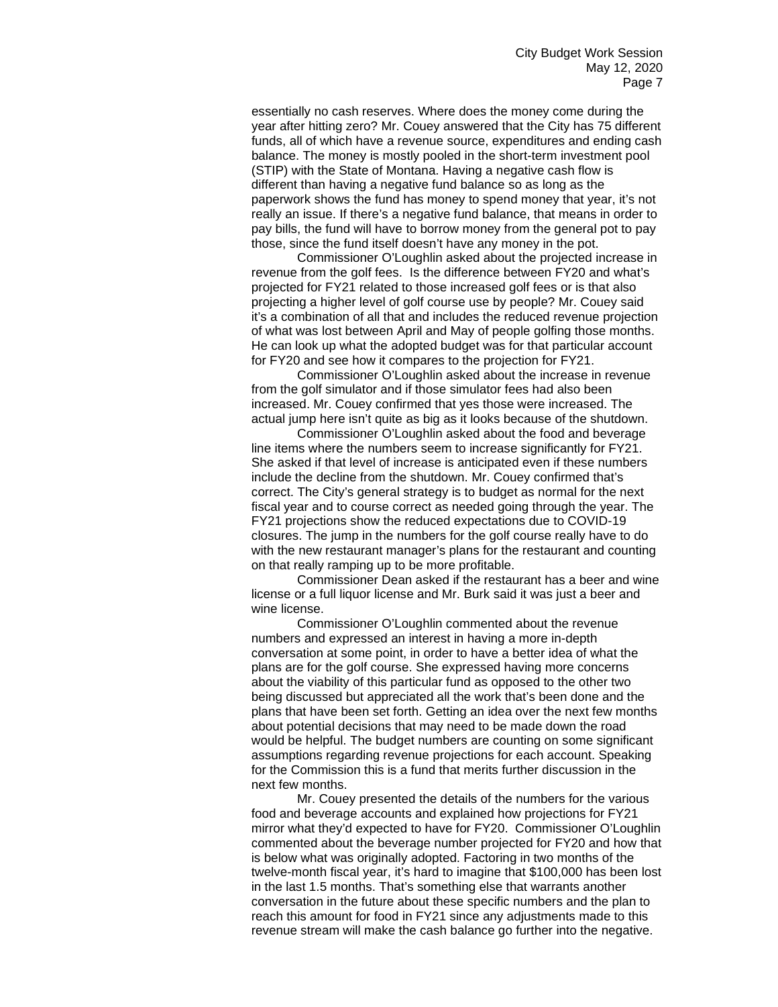essentially no cash reserves. Where does the money come during the year after hitting zero? Mr. Couey answered that the City has 75 different funds, all of which have a revenue source, expenditures and ending cash balance. The money is mostly pooled in the short-term investment pool (STIP) with the State of Montana. Having a negative cash flow is different than having a negative fund balance so as long as the paperwork shows the fund has money to spend money that year, it's not really an issue. If there's a negative fund balance, that means in order to pay bills, the fund will have to borrow money from the general pot to pay those, since the fund itself doesn't have any money in the pot.

Commissioner O'Loughlin asked about the projected increase in revenue from the golf fees. Is the difference between FY20 and what's projected for FY21 related to those increased golf fees or is that also projecting a higher level of golf course use by people? Mr. Couey said it's a combination of all that and includes the reduced revenue projection of what was lost between April and May of people golfing those months. He can look up what the adopted budget was for that particular account for FY20 and see how it compares to the projection for FY21.

Commissioner O'Loughlin asked about the increase in revenue from the golf simulator and if those simulator fees had also been increased. Mr. Couey confirmed that yes those were increased. The actual jump here isn't quite as big as it looks because of the shutdown.

Commissioner O'Loughlin asked about the food and beverage line items where the numbers seem to increase significantly for FY21. She asked if that level of increase is anticipated even if these numbers include the decline from the shutdown. Mr. Couey confirmed that's correct. The City's general strategy is to budget as normal for the next fiscal year and to course correct as needed going through the year. The FY21 projections show the reduced expectations due to COVID-19 closures. The jump in the numbers for the golf course really have to do with the new restaurant manager's plans for the restaurant and counting on that really ramping up to be more profitable.

Commissioner Dean asked if the restaurant has a beer and wine license or a full liquor license and Mr. Burk said it was just a beer and wine license.

Commissioner O'Loughlin commented about the revenue numbers and expressed an interest in having a more in-depth conversation at some point, in order to have a better idea of what the plans are for the golf course. She expressed having more concerns about the viability of this particular fund as opposed to the other two being discussed but appreciated all the work that's been done and the plans that have been set forth. Getting an idea over the next few months about potential decisions that may need to be made down the road would be helpful. The budget numbers are counting on some significant assumptions regarding revenue projections for each account. Speaking for the Commission this is a fund that merits further discussion in the next few months.

Mr. Couey presented the details of the numbers for the various food and beverage accounts and explained how projections for FY21 mirror what they'd expected to have for FY20. Commissioner O'Loughlin commented about the beverage number projected for FY20 and how that is below what was originally adopted. Factoring in two months of the twelve-month fiscal year, it's hard to imagine that \$100,000 has been lost in the last 1.5 months. That's something else that warrants another conversation in the future about these specific numbers and the plan to reach this amount for food in FY21 since any adjustments made to this revenue stream will make the cash balance go further into the negative.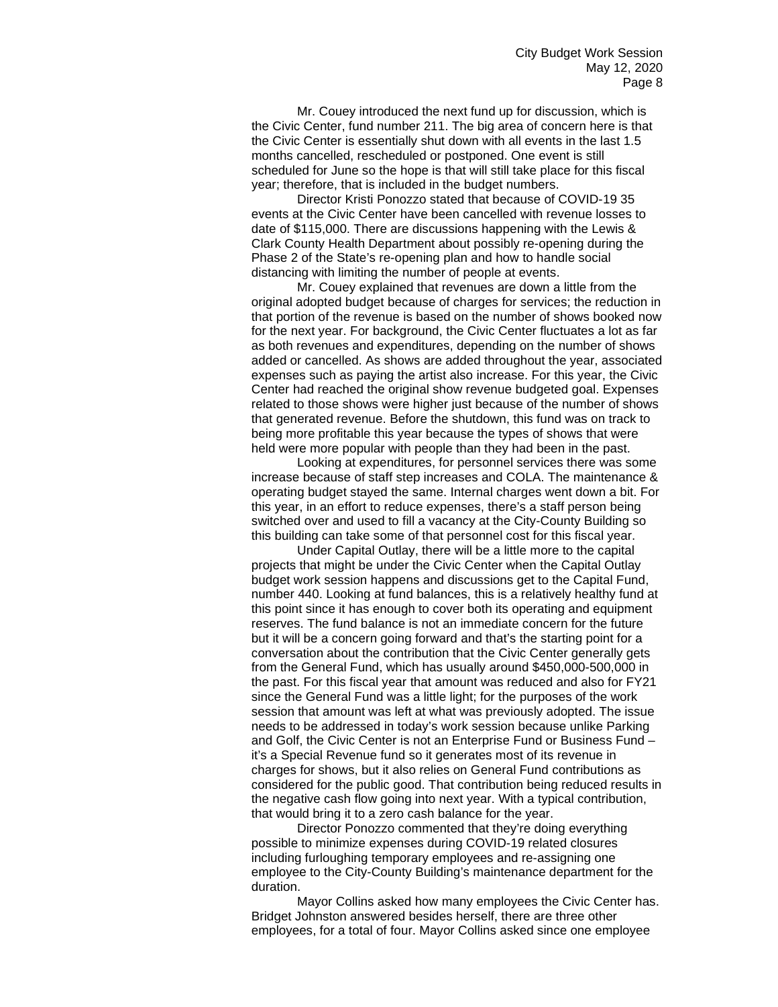Mr. Couey introduced the next fund up for discussion, which is the Civic Center, fund number 211. The big area of concern here is that the Civic Center is essentially shut down with all events in the last 1.5 months cancelled, rescheduled or postponed. One event is still scheduled for June so the hope is that will still take place for this fiscal year; therefore, that is included in the budget numbers.

Director Kristi Ponozzo stated that because of COVID-19 35 events at the Civic Center have been cancelled with revenue losses to date of \$115,000. There are discussions happening with the Lewis & Clark County Health Department about possibly re-opening during the Phase 2 of the State's re-opening plan and how to handle social distancing with limiting the number of people at events.

Mr. Couey explained that revenues are down a little from the original adopted budget because of charges for services; the reduction in that portion of the revenue is based on the number of shows booked now for the next year. For background, the Civic Center fluctuates a lot as far as both revenues and expenditures, depending on the number of shows added or cancelled. As shows are added throughout the year, associated expenses such as paying the artist also increase. For this year, the Civic Center had reached the original show revenue budgeted goal. Expenses related to those shows were higher just because of the number of shows that generated revenue. Before the shutdown, this fund was on track to being more profitable this year because the types of shows that were held were more popular with people than they had been in the past.

Looking at expenditures, for personnel services there was some increase because of staff step increases and COLA. The maintenance & operating budget stayed the same. Internal charges went down a bit. For this year, in an effort to reduce expenses, there's a staff person being switched over and used to fill a vacancy at the City-County Building so this building can take some of that personnel cost for this fiscal year.

Under Capital Outlay, there will be a little more to the capital projects that might be under the Civic Center when the Capital Outlay budget work session happens and discussions get to the Capital Fund, number 440. Looking at fund balances, this is a relatively healthy fund at this point since it has enough to cover both its operating and equipment reserves. The fund balance is not an immediate concern for the future but it will be a concern going forward and that's the starting point for a conversation about the contribution that the Civic Center generally gets from the General Fund, which has usually around \$450,000-500,000 in the past. For this fiscal year that amount was reduced and also for FY21 since the General Fund was a little light; for the purposes of the work session that amount was left at what was previously adopted. The issue needs to be addressed in today's work session because unlike Parking and Golf, the Civic Center is not an Enterprise Fund or Business Fund – it's a Special Revenue fund so it generates most of its revenue in charges for shows, but it also relies on General Fund contributions as considered for the public good. That contribution being reduced results in the negative cash flow going into next year. With a typical contribution, that would bring it to a zero cash balance for the year.

Director Ponozzo commented that they're doing everything possible to minimize expenses during COVID-19 related closures including furloughing temporary employees and re-assigning one employee to the City-County Building's maintenance department for the duration.

Mayor Collins asked how many employees the Civic Center has. Bridget Johnston answered besides herself, there are three other employees, for a total of four. Mayor Collins asked since one employee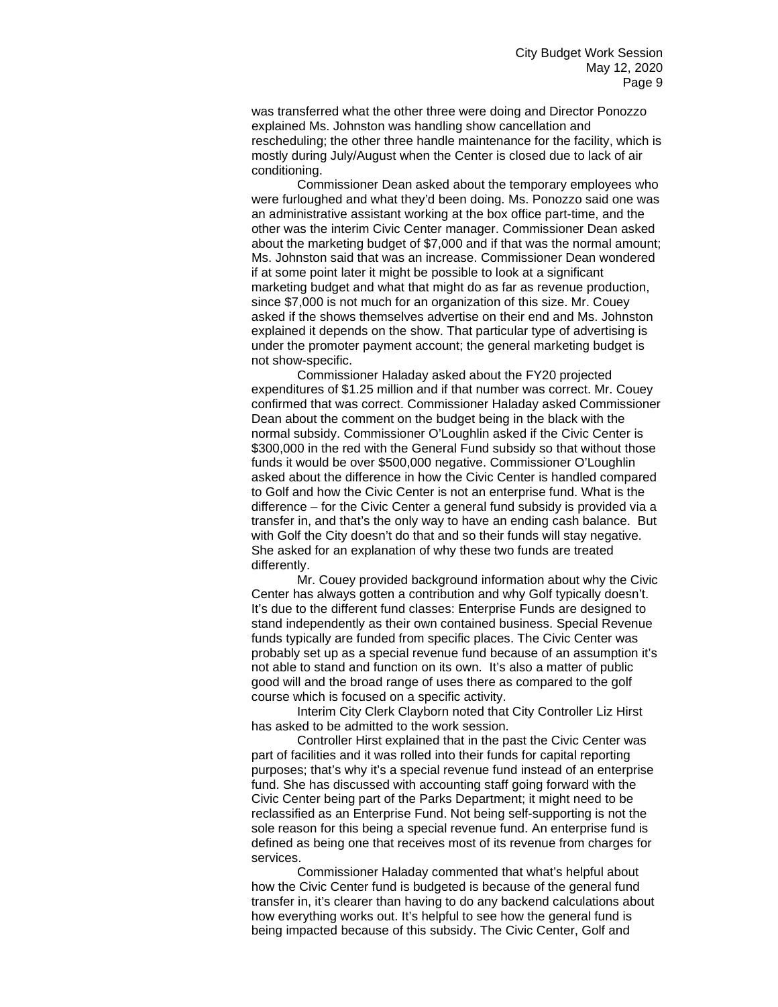was transferred what the other three were doing and Director Ponozzo explained Ms. Johnston was handling show cancellation and rescheduling; the other three handle maintenance for the facility, which is mostly during July/August when the Center is closed due to lack of air conditioning.

Commissioner Dean asked about the temporary employees who were furloughed and what they'd been doing. Ms. Ponozzo said one was an administrative assistant working at the box office part-time, and the other was the interim Civic Center manager. Commissioner Dean asked about the marketing budget of \$7,000 and if that was the normal amount; Ms. Johnston said that was an increase. Commissioner Dean wondered if at some point later it might be possible to look at a significant marketing budget and what that might do as far as revenue production, since \$7,000 is not much for an organization of this size. Mr. Couey asked if the shows themselves advertise on their end and Ms. Johnston explained it depends on the show. That particular type of advertising is under the promoter payment account; the general marketing budget is not show-specific.

Commissioner Haladay asked about the FY20 projected expenditures of \$1.25 million and if that number was correct. Mr. Couey confirmed that was correct. Commissioner Haladay asked Commissioner Dean about the comment on the budget being in the black with the normal subsidy. Commissioner O'Loughlin asked if the Civic Center is \$300,000 in the red with the General Fund subsidy so that without those funds it would be over \$500,000 negative. Commissioner O'Loughlin asked about the difference in how the Civic Center is handled compared to Golf and how the Civic Center is not an enterprise fund. What is the difference – for the Civic Center a general fund subsidy is provided via a transfer in, and that's the only way to have an ending cash balance. But with Golf the City doesn't do that and so their funds will stay negative. She asked for an explanation of why these two funds are treated differently.

Mr. Couey provided background information about why the Civic Center has always gotten a contribution and why Golf typically doesn't. It's due to the different fund classes: Enterprise Funds are designed to stand independently as their own contained business. Special Revenue funds typically are funded from specific places. The Civic Center was probably set up as a special revenue fund because of an assumption it's not able to stand and function on its own. It's also a matter of public good will and the broad range of uses there as compared to the golf course which is focused on a specific activity.

Interim City Clerk Clayborn noted that City Controller Liz Hirst has asked to be admitted to the work session.

Controller Hirst explained that in the past the Civic Center was part of facilities and it was rolled into their funds for capital reporting purposes; that's why it's a special revenue fund instead of an enterprise fund. She has discussed with accounting staff going forward with the Civic Center being part of the Parks Department; it might need to be reclassified as an Enterprise Fund. Not being self-supporting is not the sole reason for this being a special revenue fund. An enterprise fund is defined as being one that receives most of its revenue from charges for services.

Commissioner Haladay commented that what's helpful about how the Civic Center fund is budgeted is because of the general fund transfer in, it's clearer than having to do any backend calculations about how everything works out. It's helpful to see how the general fund is being impacted because of this subsidy. The Civic Center, Golf and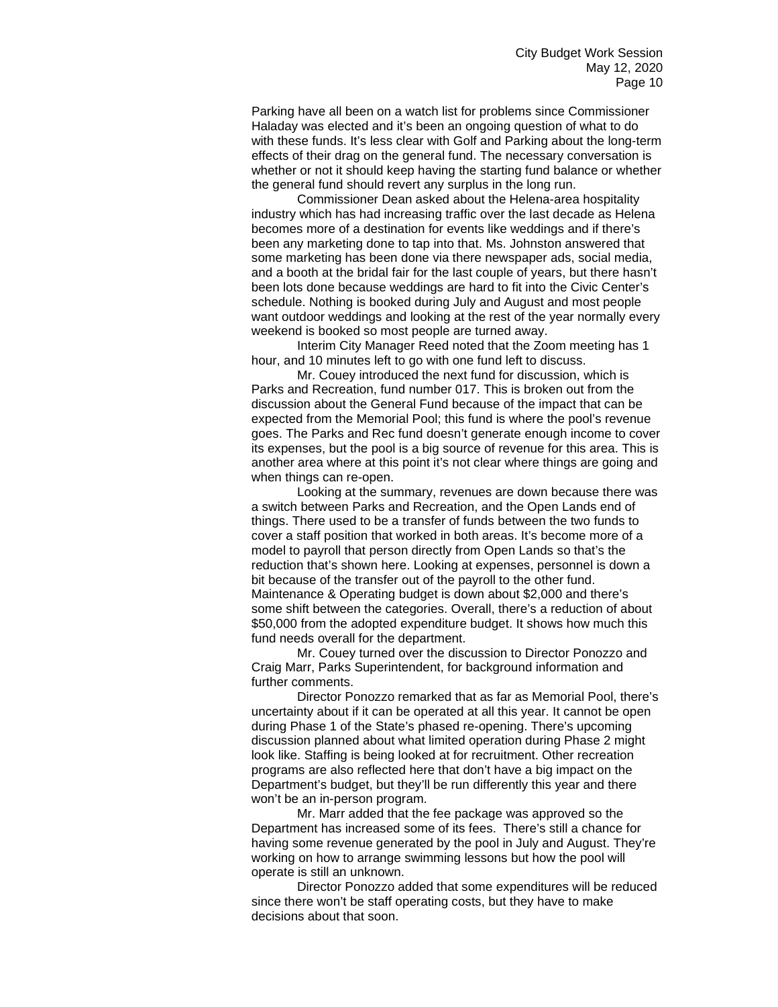Parking have all been on a watch list for problems since Commissioner Haladay was elected and it's been an ongoing question of what to do with these funds. It's less clear with Golf and Parking about the long-term effects of their drag on the general fund. The necessary conversation is whether or not it should keep having the starting fund balance or whether the general fund should revert any surplus in the long run.

Commissioner Dean asked about the Helena-area hospitality industry which has had increasing traffic over the last decade as Helena becomes more of a destination for events like weddings and if there's been any marketing done to tap into that. Ms. Johnston answered that some marketing has been done via there newspaper ads, social media, and a booth at the bridal fair for the last couple of years, but there hasn't been lots done because weddings are hard to fit into the Civic Center's schedule. Nothing is booked during July and August and most people want outdoor weddings and looking at the rest of the year normally every weekend is booked so most people are turned away.

Interim City Manager Reed noted that the Zoom meeting has 1 hour, and 10 minutes left to go with one fund left to discuss.

Mr. Couey introduced the next fund for discussion, which is Parks and Recreation, fund number 017. This is broken out from the discussion about the General Fund because of the impact that can be expected from the Memorial Pool; this fund is where the pool's revenue goes. The Parks and Rec fund doesn't generate enough income to cover its expenses, but the pool is a big source of revenue for this area. This is another area where at this point it's not clear where things are going and when things can re-open.

Looking at the summary, revenues are down because there was a switch between Parks and Recreation, and the Open Lands end of things. There used to be a transfer of funds between the two funds to cover a staff position that worked in both areas. It's become more of a model to payroll that person directly from Open Lands so that's the reduction that's shown here. Looking at expenses, personnel is down a bit because of the transfer out of the payroll to the other fund. Maintenance & Operating budget is down about \$2,000 and there's some shift between the categories. Overall, there's a reduction of about \$50,000 from the adopted expenditure budget. It shows how much this fund needs overall for the department.

Mr. Couey turned over the discussion to Director Ponozzo and Craig Marr, Parks Superintendent, for background information and further comments.

Director Ponozzo remarked that as far as Memorial Pool, there's uncertainty about if it can be operated at all this year. It cannot be open during Phase 1 of the State's phased re-opening. There's upcoming discussion planned about what limited operation during Phase 2 might look like. Staffing is being looked at for recruitment. Other recreation programs are also reflected here that don't have a big impact on the Department's budget, but they'll be run differently this year and there won't be an in-person program.

Mr. Marr added that the fee package was approved so the Department has increased some of its fees. There's still a chance for having some revenue generated by the pool in July and August. They're working on how to arrange swimming lessons but how the pool will operate is still an unknown.

Director Ponozzo added that some expenditures will be reduced since there won't be staff operating costs, but they have to make decisions about that soon.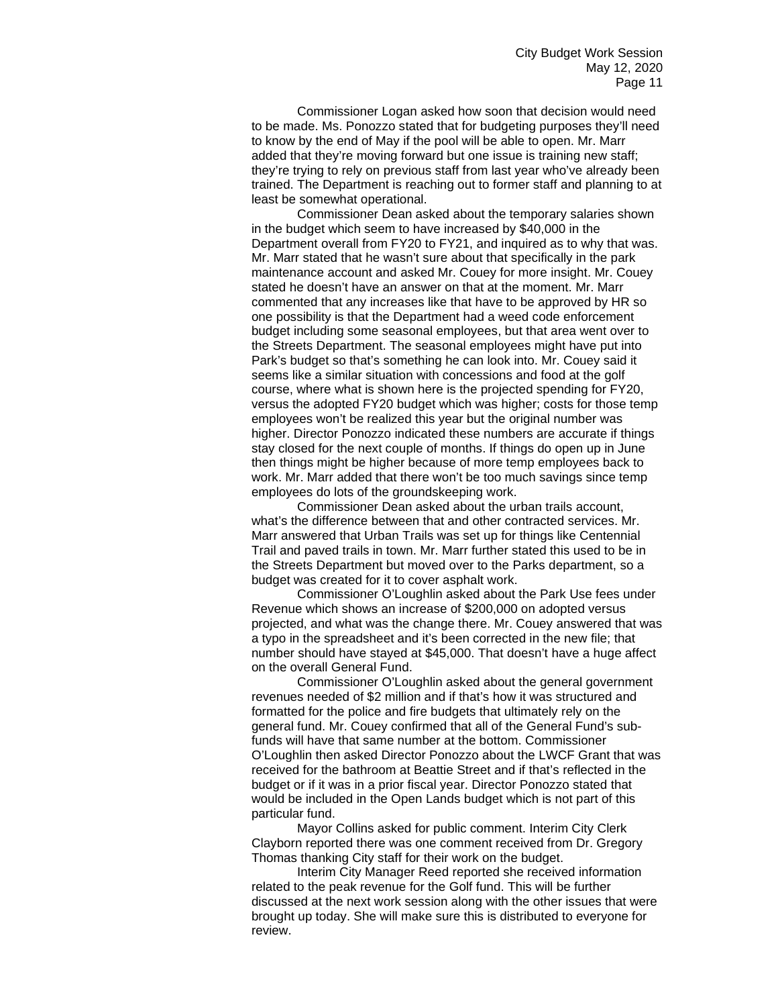Commissioner Logan asked how soon that decision would need to be made. Ms. Ponozzo stated that for budgeting purposes they'll need to know by the end of May if the pool will be able to open. Mr. Marr added that they're moving forward but one issue is training new staff; they're trying to rely on previous staff from last year who've already been trained. The Department is reaching out to former staff and planning to at least be somewhat operational.

Commissioner Dean asked about the temporary salaries shown in the budget which seem to have increased by \$40,000 in the Department overall from FY20 to FY21, and inquired as to why that was. Mr. Marr stated that he wasn't sure about that specifically in the park maintenance account and asked Mr. Couey for more insight. Mr. Couey stated he doesn't have an answer on that at the moment. Mr. Marr commented that any increases like that have to be approved by HR so one possibility is that the Department had a weed code enforcement budget including some seasonal employees, but that area went over to the Streets Department. The seasonal employees might have put into Park's budget so that's something he can look into. Mr. Couey said it seems like a similar situation with concessions and food at the golf course, where what is shown here is the projected spending for FY20, versus the adopted FY20 budget which was higher; costs for those temp employees won't be realized this year but the original number was higher. Director Ponozzo indicated these numbers are accurate if things stay closed for the next couple of months. If things do open up in June then things might be higher because of more temp employees back to work. Mr. Marr added that there won't be too much savings since temp employees do lots of the groundskeeping work.

Commissioner Dean asked about the urban trails account, what's the difference between that and other contracted services. Mr. Marr answered that Urban Trails was set up for things like Centennial Trail and paved trails in town. Mr. Marr further stated this used to be in the Streets Department but moved over to the Parks department, so a budget was created for it to cover asphalt work.

Commissioner O'Loughlin asked about the Park Use fees under Revenue which shows an increase of \$200,000 on adopted versus projected, and what was the change there. Mr. Couey answered that was a typo in the spreadsheet and it's been corrected in the new file; that number should have stayed at \$45,000. That doesn't have a huge affect on the overall General Fund.

Commissioner O'Loughlin asked about the general government revenues needed of \$2 million and if that's how it was structured and formatted for the police and fire budgets that ultimately rely on the general fund. Mr. Couey confirmed that all of the General Fund's subfunds will have that same number at the bottom. Commissioner O'Loughlin then asked Director Ponozzo about the LWCF Grant that was received for the bathroom at Beattie Street and if that's reflected in the budget or if it was in a prior fiscal year. Director Ponozzo stated that would be included in the Open Lands budget which is not part of this particular fund.

Mayor Collins asked for public comment. Interim City Clerk Clayborn reported there was one comment received from Dr. Gregory Thomas thanking City staff for their work on the budget.

Interim City Manager Reed reported she received information related to the peak revenue for the Golf fund. This will be further discussed at the next work session along with the other issues that were brought up today. She will make sure this is distributed to everyone for review.